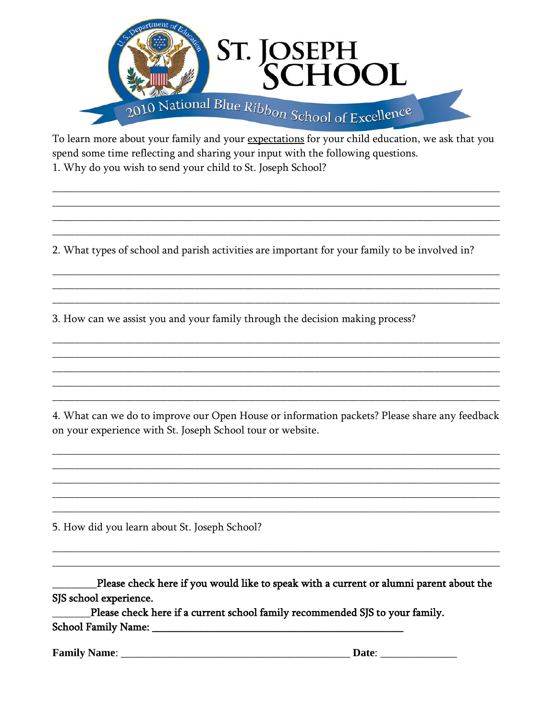

To learn more about your family and your expectations for your child education, we ask that you spend some time reflecting and sharing your input with the following questions. 1. Why do you wish to send your child to St. Joseph School?

2. What types of school and parish activities are important for your family to be involved in?

3. How can we assist you and your family through the decision making process?

4. What can we do to improve our Open House or information packets? Please share any feedback on your experience with St. Joseph School tour or website.

5. How did you learn about St. Joseph School?

Please check here if you would like to speak with a current or alumni parent about the SJS school experience.

Please check here if a current school family recommended SJS to your family.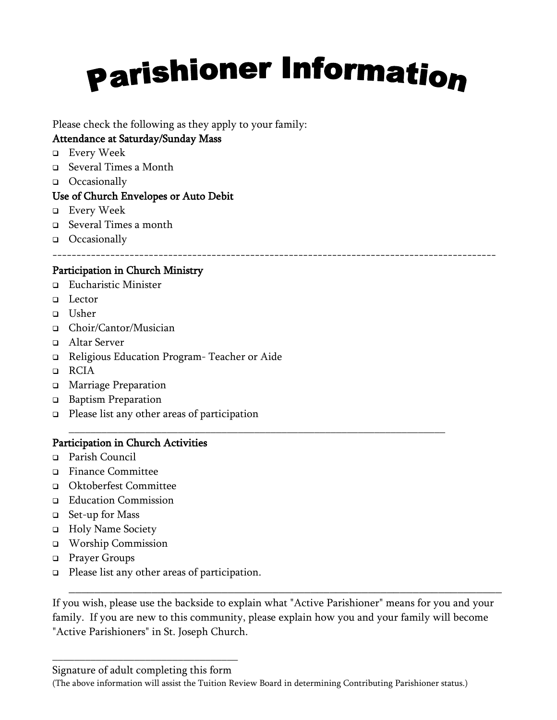# **parishioner Information**

Please check the following as they apply to your family:

# Attendance at Saturday/Sunday Mass

- ❑ Every Week
- ❑ Several Times a Month
- ❑ Occasionally

### Use of Church Envelopes or Auto Debit

- ❑ Every Week
- ❑ Several Times a month
- ❑ Occasionally

--------------------------------------------------------------------------------------------

### Participation in Church Ministry

- ❑ Eucharistic Minister
- ❑ Lector
- ❑ Usher
- ❑ Choir/Cantor/Musician
- ❑ Altar Server
- ❑ Religious Education Program- Teacher or Aide
- ❑ RCIA
- ❑ Marriage Preparation
- ❑ Baptism Preparation
- ❑ Please list any other areas of participation

#### Participation in Church Activities

- ❑ Parish Council
- ❑ Finance Committee
- ❑ Oktoberfest Committee
- ❑ Education Commission
- ❑ Set-up for Mass
- ❑ Holy Name Society
- ❑ Worship Commission
- ❑ Prayer Groups
- ❑ Please list any other areas of participation.

If you wish, please use the backside to explain what "Active Parishioner" means for you and your family. If you are new to this community, please explain how you and your family will become "Active Parishioners" in St. Joseph Church.

\_\_\_\_\_\_\_\_\_\_\_\_\_\_\_\_\_\_\_\_\_\_\_\_\_\_\_\_\_\_\_\_\_\_\_\_\_\_\_\_\_\_\_\_\_\_\_\_\_\_\_\_\_\_\_\_\_\_\_\_\_\_\_\_\_\_\_\_

#### (The above information will assist the Tuition Review Board in determining Contributing Parishioner status.)

\_\_\_\_\_\_\_\_\_\_\_\_\_\_\_\_\_\_\_\_\_\_\_\_\_\_\_\_\_\_\_\_\_\_\_\_\_\_\_\_\_\_\_\_\_\_\_\_\_\_\_\_\_\_\_\_\_\_\_\_\_\_\_\_\_\_\_\_\_

\_\_\_\_\_\_\_\_\_\_\_\_\_\_\_\_\_\_\_\_\_\_\_\_\_\_\_\_\_\_\_\_\_\_ Signature of adult completing this form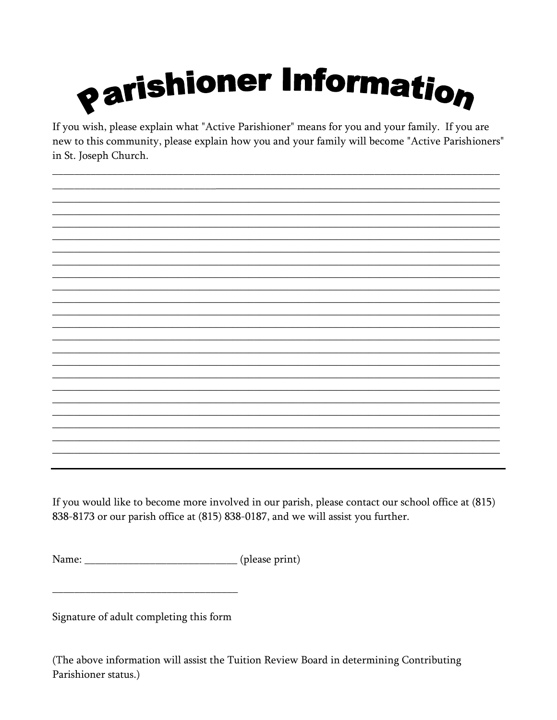

If you wish, please explain what "Active Parishioner" means for you and your family. If you are new to this community, please explain how you and your family will become "Active Parishioners" in St. Joseph Church.

If you would like to become more involved in our parish, please contact our school office at (815) 838-8173 or our parish office at (815) 838-0187, and we will assist you further.

Signature of adult completing this form

(The above information will assist the Tuition Review Board in determining Contributing Parishioner status.)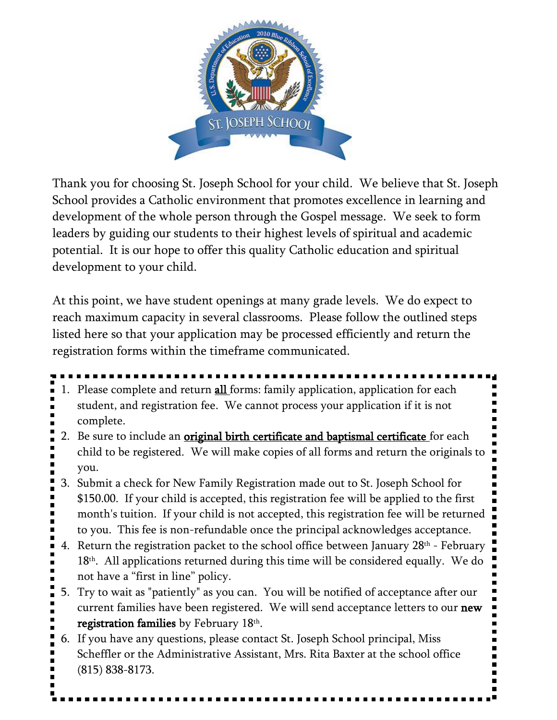

Thank you for choosing St. Joseph School for your child. We believe that St. Joseph School provides a Catholic environment that promotes excellence in learning and development of the whole person through the Gospel message. We seek to form leaders by guiding our students to their highest levels of spiritual and academic potential. It is our hope to offer this quality Catholic education and spiritual development to your child.

At this point, we have student openings at many grade levels. We do expect to reach maximum capacity in several classrooms. Please follow the outlined steps listed here so that your application may be processed efficiently and return the registration forms within the timeframe communicated.

- 
- 1. Please complete and return **all** forms: family application, application for each student, and registration fee. We cannot process your application if it is not complete.
- 2. Be sure to include an original birth certificate and baptismal certificate for each child to be registered. We will make copies of all forms and return the originals to you.
- 3. Submit a check for New Family Registration made out to St. Joseph School for \$150.00. If your child is accepted, this registration fee will be applied to the first month's tuition. If your child is not accepted, this registration fee will be returned to you. This fee is non-refundable once the principal acknowledges acceptance.
- 4. Return the registration packet to the school office between January  $28<sup>th</sup>$  February 18th. All applications returned during this time will be considered equally. We do not have a "first in line" policy.
- 5. Try to wait as "patiently" as you can. You will be notified of acceptance after our current families have been registered. We will send acceptance letters to our new registration families by February  $18<sup>th</sup>$ .
- 6. If you have any questions, please contact St. Joseph School principal, Miss Scheffler or the Administrative Assistant, Mrs. Rita Baxter at the school office (815) 838-8173.

I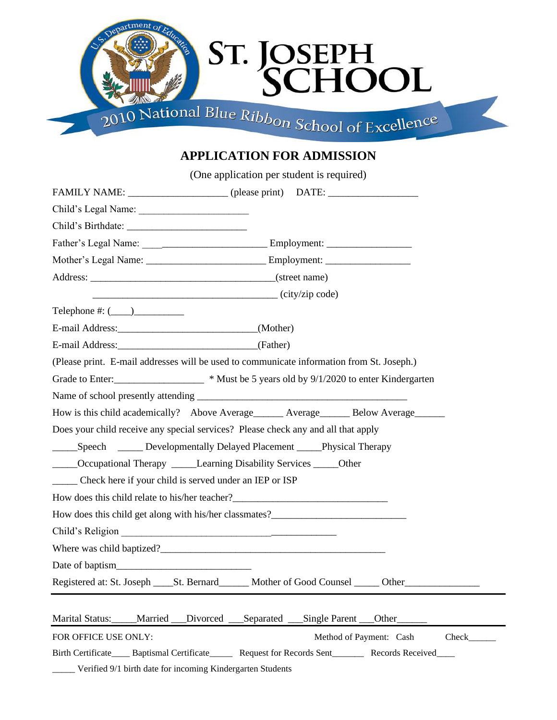

# **APPLICATION FOR ADMISSION**

|                                                               | (One application per student is required)                                                                                                                                                                                             |
|---------------------------------------------------------------|---------------------------------------------------------------------------------------------------------------------------------------------------------------------------------------------------------------------------------------|
|                                                               | FAMILY NAME: _________________________ (please print) DATE: ____________________                                                                                                                                                      |
|                                                               |                                                                                                                                                                                                                                       |
|                                                               |                                                                                                                                                                                                                                       |
|                                                               |                                                                                                                                                                                                                                       |
|                                                               |                                                                                                                                                                                                                                       |
|                                                               |                                                                                                                                                                                                                                       |
|                                                               | $\overline{\phantom{a}}$ (city/zip code)                                                                                                                                                                                              |
| Telephone #: $(\_\_)$                                         |                                                                                                                                                                                                                                       |
| E-mail Address: (Mother)                                      |                                                                                                                                                                                                                                       |
| E-mail Address: (Father)                                      |                                                                                                                                                                                                                                       |
|                                                               | (Please print. E-mail addresses will be used to communicate information from St. Joseph.)                                                                                                                                             |
|                                                               | Grade to Enter:<br><u>Example 2014</u> Wust be 5 years old by 9/1/2020 to enter Kindergarten                                                                                                                                          |
|                                                               |                                                                                                                                                                                                                                       |
|                                                               | How is this child academically? Above Average Average Below Average                                                                                                                                                                   |
|                                                               | Does your child receive any special services? Please check any and all that apply                                                                                                                                                     |
|                                                               | ______Speech ________ Developmentally Delayed Placement ______Physical Therapy                                                                                                                                                        |
|                                                               | _____Occupational Therapy ______Learning Disability Services _____Other                                                                                                                                                               |
| ______ Check here if your child is served under an IEP or ISP |                                                                                                                                                                                                                                       |
|                                                               | How does this child relate to his/her teacher?___________________________________                                                                                                                                                     |
|                                                               | How does this child get along with his/her classmates?<br><u>Letting and</u> the same of the same of the same of the same of the same of the same of the same of the same of the same of the same of the same of the same of the same |
|                                                               | Child's Religion                                                                                                                                                                                                                      |
|                                                               | Where was child baptized?                                                                                                                                                                                                             |
|                                                               |                                                                                                                                                                                                                                       |
|                                                               |                                                                                                                                                                                                                                       |
|                                                               | Marital Status: _____Married ___Divorced ___Separated ___Single Parent ___Other                                                                                                                                                       |
| FOR OFFICE USE ONLY:                                          | Method of Payment: Cash<br>$Check$ <sub>___</sub>                                                                                                                                                                                     |
|                                                               | Birth Certificate Baptismal Certificate Request for Records Sent Records Received                                                                                                                                                     |

\_\_\_\_\_ Verified 9/1 birth date for incoming Kindergarten Students